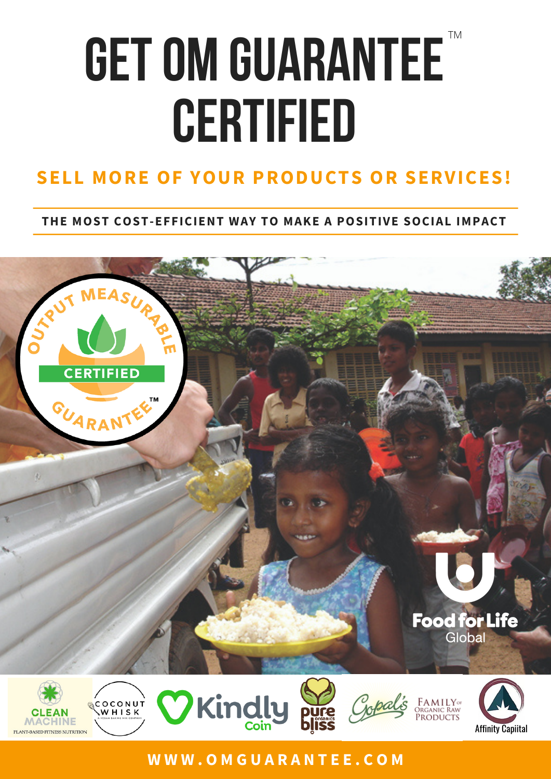# **GET OM GUARANTEE CERTIFIED**

#### **SELL MORE OF YOUR PRODUCTS OR SERVICES!**

#### **THE MOST COST-EFFICIENT WAY TO MAKE A POSITIVE SOCIAL IMPACT**



#### **W W W . O M G U A R A N T E E . C O M**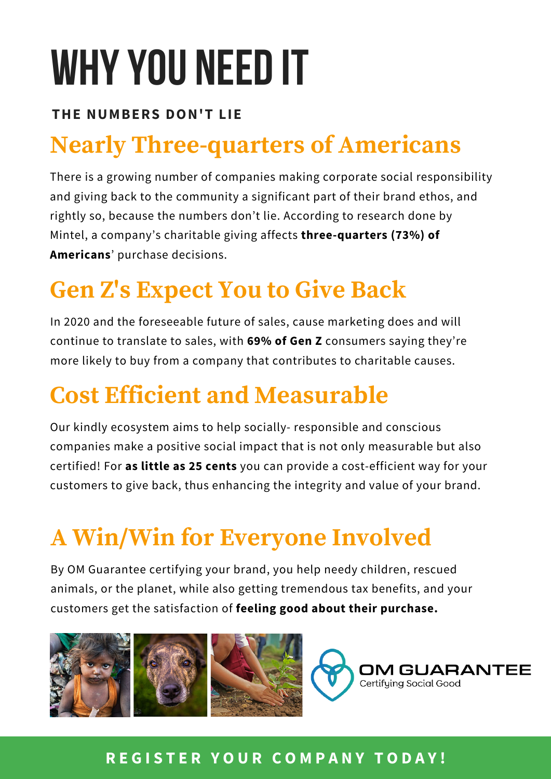## WHY YOU NEED IT

#### **THE NUMBERS DON'T LIE**

## **Nearly Three-quarters of Americans**

There is a growing number of companies making corporate social responsibility and giving back to the community a significant part of their brand ethos, and rightly so, because the numbers don't lie. According to research done by Mintel, a company's charitable giving affects **three-quarters (73%) of Americans**' purchase decisions.

### **Gen Z's Expect You to Give Back**

In 2020 and the foreseeable future of sales, cause marketing does and will continue to translate to sales, with **69% of Gen Z** consumers saying they're more likely to buy from a company that contributes to charitable causes.

#### **Cost Efficient and Measurable**

Our kindly ecosystem aims to help socially- responsible and conscious companies make a positive social impact that is not only measurable but also certified! For **as little as 25 cents** you can provide a cost-efficient way for your customers to give back, thus enhancing the integrity and value of your brand.

## **A Win/Win for Everyone Involved**

By OM Guarantee certifying your brand, you help needy children, rescued animals, or the planet, while also getting tremendous tax benefits, and your customers get the satisfaction of **feeling good about their purchase.**



#### **R E G I S T E R Y O U R C O M P A N Y T O D A Y !**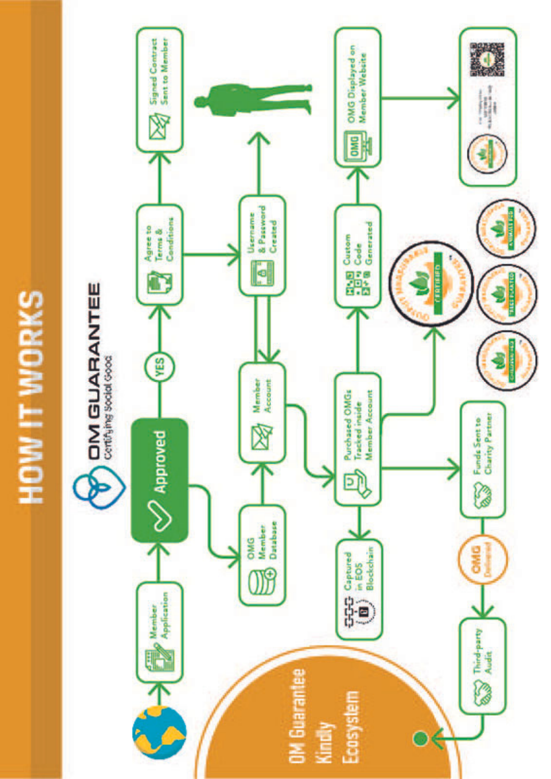